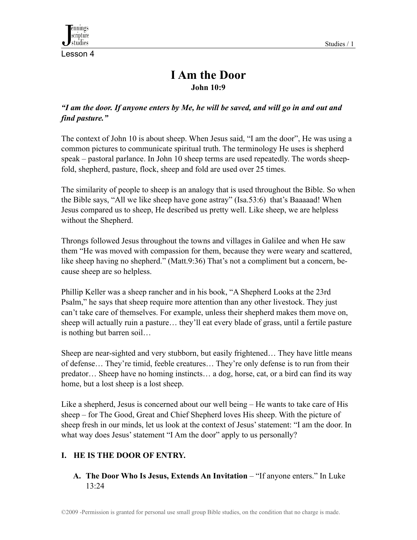Lesson 4

# **I Am the Door John 10:9**

## *"I am the door. If anyone enters by Me, he will be saved, and will go in and out and find pasture."*

The context of John 10 is about sheep. When Jesus said, "I am the door", He was using a common pictures to communicate spiritual truth. The terminology He uses is shepherd speak – pastoral parlance. In John 10 sheep terms are used repeatedly. The words sheepfold, shepherd, pasture, flock, sheep and fold are used over 25 times.

The similarity of people to sheep is an analogy that is used throughout the Bible. So when the Bible says, "All we like sheep have gone astray" (Isa.53:6) that's Baaaaad! When Jesus compared us to sheep, He described us pretty well. Like sheep, we are helpless without the Shepherd.

Throngs followed Jesus throughout the towns and villages in Galilee and when He saw them "He was moved with compassion for them, because they were weary and scattered, like sheep having no shepherd." (Matt.9:36) That's not a compliment but a concern, because sheep are so helpless.

Phillip Keller was a sheep rancher and in his book, "A Shepherd Looks at the 23rd Psalm," he says that sheep require more attention than any other livestock. They just can't take care of themselves. For example, unless their shepherd makes them move on, sheep will actually ruin a pasture… they'll eat every blade of grass, until a fertile pasture is nothing but barren soil…

Sheep are near-sighted and very stubborn, but easily frightened… They have little means of defense… They're timid, feeble creatures… They're only defense is to run from their predator… Sheep have no homing instincts… a dog, horse, cat, or a bird can find its way home, but a lost sheep is a lost sheep.

Like a shepherd, Jesus is concerned about our well being – He wants to take care of His sheep – for The Good, Great and Chief Shepherd loves His sheep. With the picture of sheep fresh in our minds, let us look at the context of Jesus' statement: "I am the door. In what way does Jesus' statement "I Am the door" apply to us personally?

# **I. HE IS THE DOOR OF ENTRY.**

# **A. The Door Who Is Jesus, Extends An Invitation** – "If anyone enters." In Luke 13:24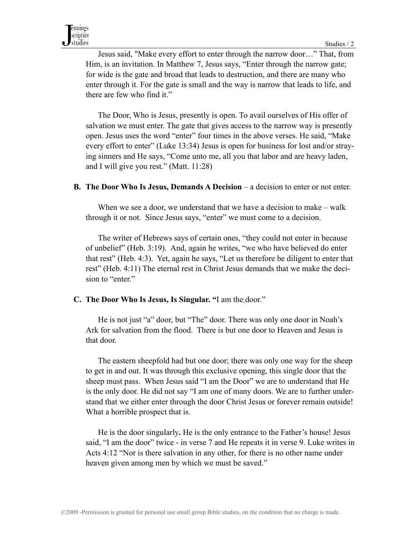Jesus said, "Make every effort to enter through the narrow door…" That, from Him, is an invitation. In Matthew 7, Jesus says, "Enter through the narrow gate; for wide is the gate and broad that leads to destruction, and there are many who enter through it. For the gate is small and the way is narrow that leads to life, and there are few who find it."

 The Door, Who is Jesus, presently is open. To avail ourselves of His offer of salvation we must enter. The gate that gives access to the narrow way is presently open. Jesus uses the word "enter" four times in the above verses. He said, "Make every effort to enter" (Luke 13:34) Jesus is open for business for lost and/or straying sinners and He says, "Come unto me, all you that labor and are heavy laden, and I will give you rest." (Matt. 11:28)

#### **B.** The Door Who Is Jesus, Demands A Decision – a decision to enter or not enter.

When we see a door, we understand that we have a decision to make – walk through it or not. Since Jesus says, "enter" we must come to a decision.

 The writer of Hebrews says of certain ones, "they could not enter in because of unbelief" (Heb. 3:19). And, again he writes, "we who have believed do enter that rest" (Heb. 4:3). Yet, again he says, "Let us therefore be diligent to enter that rest" (Heb. 4:11) The eternal rest in Christ Jesus demands that we make the decision to "enter."

#### **C. The Door Who Is Jesus, Is Singular. "**I am the door."

 He is not just "a" door, but "The" door. There was only one door in Noah's Ark for salvation from the flood. There is but one door to Heaven and Jesus is that door.

 The eastern sheepfold had but one door; there was only one way for the sheep to get in and out. It was through this exclusive opening, this single door that the sheep must pass. When Jesus said "I am the Door" we are to understand that He is the only door. He did not say "I am one of many doors. We are to further understand that we either enter through the door Christ Jesus or forever remain outside! What a horrible prospect that is.

 He is the door singularly**.** He is the only entrance to the Father's house! Jesus said, "I am the door" twice - in verse 7 and He repeats it in verse 9. Luke writes in Acts 4:12 "Nor is there salvation in any other, for there is no other name under heaven given among men by which we must be saved."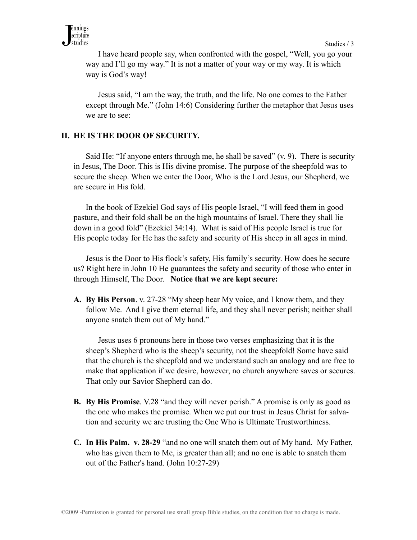I have heard people say, when confronted with the gospel, "Well, you go your way and I'll go my way." It is not a matter of your way or my way. It is which way is God's way!

 Jesus said, "I am the way, the truth, and the life. No one comes to the Father except through Me." (John 14:6) Considering further the metaphor that Jesus uses we are to see:

#### **II. HE IS THE DOOR OF SECURITY.**

Said He: "If anyone enters through me, he shall be saved" (v. 9). There is security in Jesus, The Door. This is His divine promise. The purpose of the sheepfold was to secure the sheep. When we enter the Door, Who is the Lord Jesus, our Shepherd, we are secure in His fold.

 In the book of Ezekiel God says of His people Israel, "I will feed them in good pasture, and their fold shall be on the high mountains of Israel. There they shall lie down in a good fold" (Ezekiel 34:14). What is said of His people Israel is true for His people today for He has the safety and security of His sheep in all ages in mind.

Jesus is the Door to His flock's safety, His family's security. How does he secure us? Right here in John 10 He guarantees the safety and security of those who enter in through Himself, The Door. **Notice that we are kept secure:**

**A. By His Person**. v. 27-28 "My sheep hear My voice, and I know them, and they follow Me. And I give them eternal life, and they shall never perish; neither shall anyone snatch them out of My hand."

 Jesus uses 6 pronouns here in those two verses emphasizing that it is the sheep's Shepherd who is the sheep's security, not the sheepfold! Some have said that the church is the sheepfold and we understand such an analogy and are free to make that application if we desire, however, no church anywhere saves or secures. That only our Savior Shepherd can do.

- **B. By His Promise**. V.28 "and they will never perish." A promise is only as good as the one who makes the promise. When we put our trust in Jesus Christ for salvation and security we are trusting the One Who is Ultimate Trustworthiness.
- **C. In His Palm. v. 28-29** "and no one will snatch them out of My hand. My Father, who has given them to Me, is greater than all; and no one is able to snatch them out of the Father's hand. (John 10:27-29)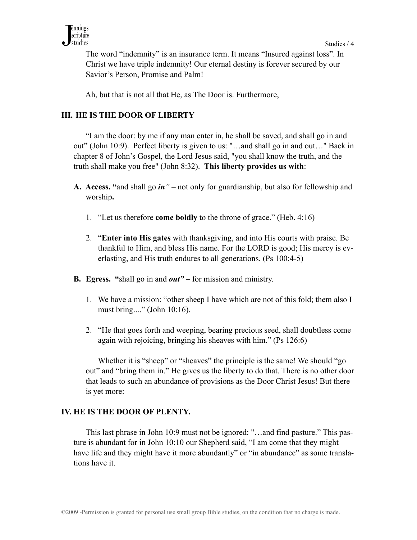The word "indemnity" is an insurance term. It means "Insured against loss". In Christ we have triple indemnity! Our eternal destiny is forever secured by our Savior's Person, Promise and Palm!

Ah, but that is not all that He, as The Door is. Furthermore,

## **III. HE IS THE DOOR OF LIBERTY**

 "I am the door: by me if any man enter in, he shall be saved, and shall go in and out" (John 10:9). Perfect liberty is given to us: "…and shall go in and out…" Back in chapter 8 of John's Gospel, the Lord Jesus said, "you shall know the truth, and the truth shall make you free" (John 8:32). **This liberty provides us with**:

- **A. Access. "**and shall go *in"*  not only for guardianship, but also for fellowship and worship**.**
	- 1. "Let us therefore **come boldly** to the throne of grace." (Heb. 4:16)
	- 2. "**Enter into His gates** with thanksgiving, and into His courts with praise. Be thankful to Him, and bless His name. For the LORD is good; His mercy is everlasting, and His truth endures to all generations. (Ps 100:4-5)
- **B. Egress. "**shall go in and *out"*for mission and ministry.
	- 1. We have a mission: "other sheep I have which are not of this fold; them also I must bring...." (John 10:16).
	- 2. "He that goes forth and weeping, bearing precious seed, shall doubtless come again with rejoicing, bringing his sheaves with him." (Ps 126:6)

Whether it is "sheep" or "sheaves" the principle is the same! We should "go out" and "bring them in." He gives us the liberty to do that. There is no other door that leads to such an abundance of provisions as the Door Christ Jesus! But there is yet more:

## **IV. HE IS THE DOOR OF PLENTY.**

This last phrase in John 10:9 must not be ignored: "…and find pasture." This pasture is abundant for in John 10:10 our Shepherd said, "I am come that they might have life and they might have it more abundantly" or "in abundance" as some translations have it.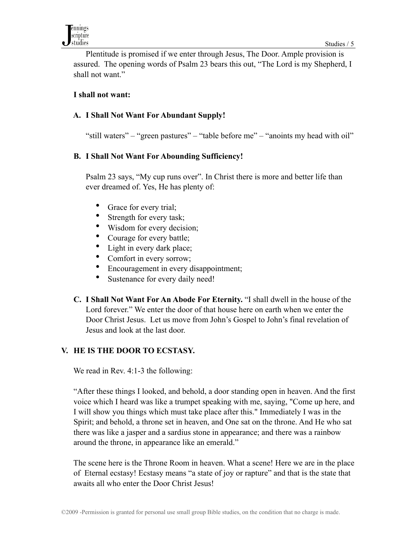Plentitude is promised if we enter through Jesus, The Door. Ample provision is assured. The opening words of Psalm 23 bears this out, "The Lord is my Shepherd, I shall not want."

#### **I shall not want:**

## **A. I Shall Not Want For Abundant Supply!**

"still waters" – "green pastures" – "table before me" – "anoints my head with oil"

#### **B. I Shall Not Want For Abounding Sufficiency!**

 Psalm 23 says, "My cup runs over". In Christ there is more and better life than ever dreamed of. Yes, He has plenty of:

- Grace for every trial;
- Strength for every task;
- Wisdom for every decision;
- Courage for every battle;
- Light in every dark place;
- Comfort in every sorrow;
- Encouragement in every disappointment;
- Sustenance for every daily need!
- **C. I Shall Not Want For An Abode For Eternity.** "I shall dwell in the house of the Lord forever." We enter the door of that house here on earth when we enter the Door Christ Jesus. Let us move from John's Gospel to John's final revelation of Jesus and look at the last door.

## **V. HE IS THE DOOR TO ECSTASY.**

We read in Rev. 4:1-3 the following:

 "After these things I looked, and behold, a door standing open in heaven. And the first voice which I heard was like a trumpet speaking with me, saying, "Come up here, and I will show you things which must take place after this." Immediately I was in the Spirit; and behold, a throne set in heaven, and One sat on the throne. And He who sat there was like a jasper and a sardius stone in appearance; and there was a rainbow around the throne, in appearance like an emerald."

 The scene here is the Throne Room in heaven. What a scene! Here we are in the place of Eternal ecstasy! Ecstasy means "a state of joy or rapture" and that is the state that awaits all who enter the Door Christ Jesus!